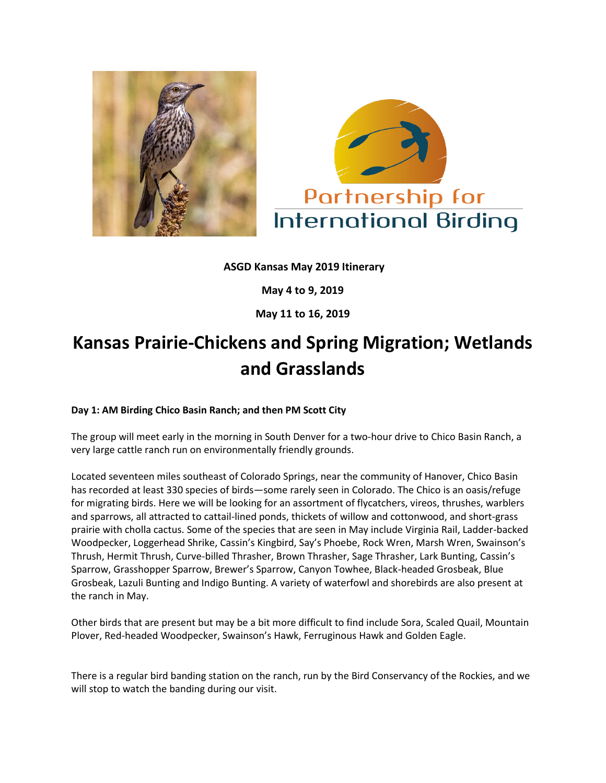



**ASGD Kansas May 2019 Itinerary**

**May 4 to 9, 2019**

**May 11 to 16, 2019**

# **Kansas Prairie-Chickens and Spring Migration; Wetlands and Grasslands**

## **Day 1: AM Birding Chico Basin Ranch; and then PM Scott City**

The group will meet early in the morning in South Denver for a two-hour drive to Chico Basin Ranch, a very large cattle ranch run on environmentally friendly grounds.

Located seventeen miles southeast of Colorado Springs, near the community of Hanover, Chico Basin has recorded at least 330 species of birds—some rarely seen in Colorado. The Chico is an oasis/refuge for migrating birds. Here we will be looking for an assortment of flycatchers, vireos, thrushes, warblers and sparrows, all attracted to cattail-lined ponds, thickets of willow and cottonwood, and short-grass prairie with cholla cactus. Some of the species that are seen in May include Virginia Rail, Ladder-backed Woodpecker, Loggerhead Shrike, Cassin's Kingbird, Say's Phoebe, Rock Wren, Marsh Wren, Swainson's Thrush, Hermit Thrush, Curve-billed Thrasher, Brown Thrasher, Sage Thrasher, Lark Bunting, Cassin's Sparrow, Grasshopper Sparrow, Brewer's Sparrow, Canyon Towhee, Black-headed Grosbeak, Blue Grosbeak, Lazuli Bunting and Indigo Bunting. A variety of waterfowl and shorebirds are also present at the ranch in May.

Other birds that are present but may be a bit more difficult to find include Sora, Scaled Quail, Mountain Plover, Red-headed Woodpecker, Swainson's Hawk, Ferruginous Hawk and Golden Eagle.

There is a regular bird banding station on the ranch, run by the Bird Conservancy of the Rockies, and we will stop to watch the banding during our visit.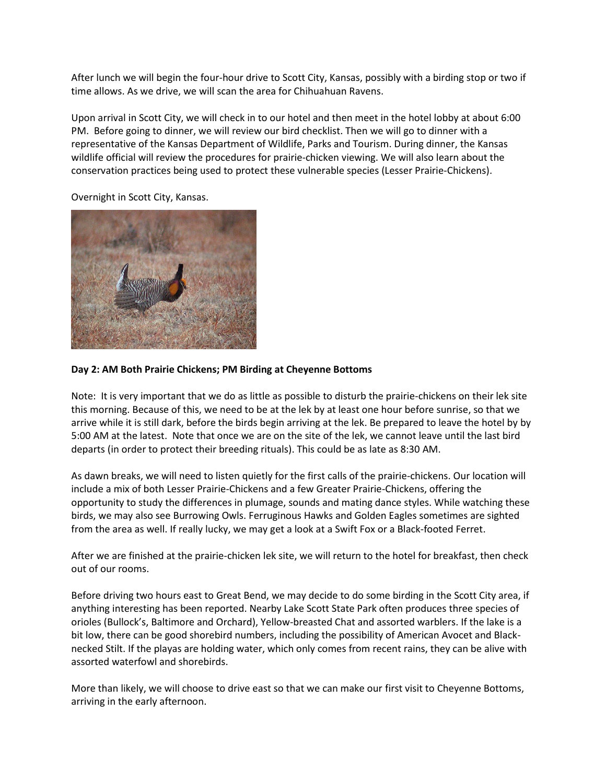After lunch we will begin the four-hour drive to Scott City, Kansas, possibly with a birding stop or two if time allows. As we drive, we will scan the area for Chihuahuan Ravens.

Upon arrival in Scott City, we will check in to our hotel and then meet in the hotel lobby at about 6:00 PM. Before going to dinner, we will review our bird checklist. Then we will go to dinner with a representative of the Kansas Department of Wildlife, Parks and Tourism. During dinner, the Kansas wildlife official will review the procedures for prairie-chicken viewing. We will also learn about the conservation practices being used to protect these vulnerable species (Lesser Prairie-Chickens).

Overnight in Scott City, Kansas.



### **Day 2: AM Both Prairie Chickens; PM Birding at Cheyenne Bottoms**

Note: It is very important that we do as little as possible to disturb the prairie-chickens on their lek site this morning. Because of this, we need to be at the lek by at least one hour before sunrise, so that we arrive while it is still dark, before the birds begin arriving at the lek. Be prepared to leave the hotel by by 5:00 AM at the latest. Note that once we are on the site of the lek, we cannot leave until the last bird departs (in order to protect their breeding rituals). This could be as late as 8:30 AM.

As dawn breaks, we will need to listen quietly for the first calls of the prairie-chickens. Our location will include a mix of both Lesser Prairie-Chickens and a few Greater Prairie-Chickens, offering the opportunity to study the differences in plumage, sounds and mating dance styles. While watching these birds, we may also see Burrowing Owls. Ferruginous Hawks and Golden Eagles sometimes are sighted from the area as well. If really lucky, we may get a look at a Swift Fox or a Black-footed Ferret.

After we are finished at the prairie-chicken lek site, we will return to the hotel for breakfast, then check out of our rooms.

Before driving two hours east to Great Bend, we may decide to do some birding in the Scott City area, if anything interesting has been reported. Nearby Lake Scott State Park often produces three species of orioles (Bullock's, Baltimore and Orchard), Yellow-breasted Chat and assorted warblers. If the lake is a bit low, there can be good shorebird numbers, including the possibility of American Avocet and Blacknecked Stilt. If the playas are holding water, which only comes from recent rains, they can be alive with assorted waterfowl and shorebirds.

More than likely, we will choose to drive east so that we can make our first visit to Cheyenne Bottoms, arriving in the early afternoon.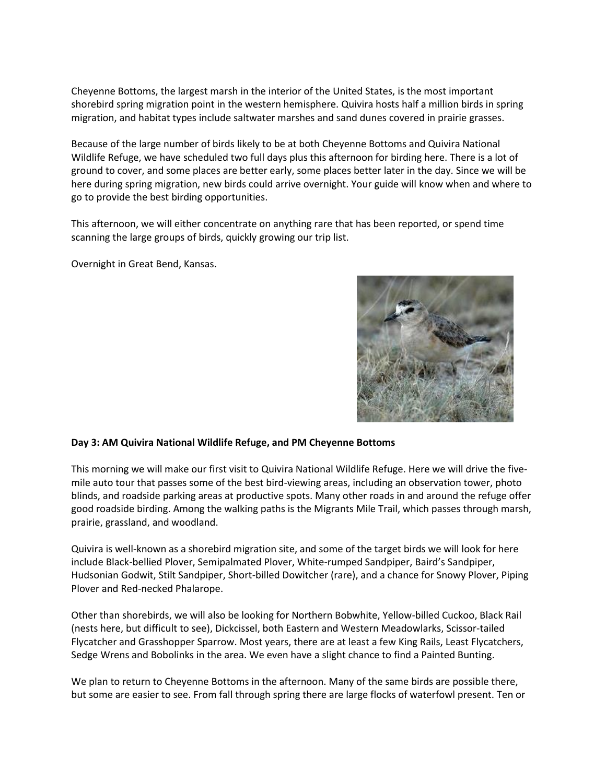Cheyenne Bottoms, the largest marsh in the interior of the United States, is the most important shorebird spring migration point in the western hemisphere. Quivira hosts half a million birds in spring migration, and habitat types include saltwater marshes and sand dunes covered in prairie grasses.

Because of the large number of birds likely to be at both Cheyenne Bottoms and Quivira National Wildlife Refuge, we have scheduled two full days plus this afternoon for birding here. There is a lot of ground to cover, and some places are better early, some places better later in the day. Since we will be here during spring migration, new birds could arrive overnight. Your guide will know when and where to go to provide the best birding opportunities.

This afternoon, we will either concentrate on anything rare that has been reported, or spend time scanning the large groups of birds, quickly growing our trip list.

Overnight in Great Bend, Kansas.



#### **Day 3: AM Quivira National Wildlife Refuge, and PM Cheyenne Bottoms**

This morning we will make our first visit to Quivira National Wildlife Refuge. Here we will drive the fivemile auto tour that passes some of the best bird-viewing areas, including an observation tower, photo blinds, and roadside parking areas at productive spots. Many other roads in and around the refuge offer good roadside birding. Among the walking paths is the Migrants Mile Trail, which passes through marsh, prairie, grassland, and woodland.

Quivira is well-known as a shorebird migration site, and some of the target birds we will look for here include Black-bellied Plover, Semipalmated Plover, White-rumped Sandpiper, Baird's Sandpiper, Hudsonian Godwit, Stilt Sandpiper, Short-billed Dowitcher (rare), and a chance for Snowy Plover, Piping Plover and Red-necked Phalarope.

Other than shorebirds, we will also be looking for Northern Bobwhite, Yellow-billed Cuckoo, Black Rail (nests here, but difficult to see), Dickcissel, both Eastern and Western Meadowlarks, Scissor-tailed Flycatcher and Grasshopper Sparrow. Most years, there are at least a few King Rails, Least Flycatchers, Sedge Wrens and Bobolinks in the area. We even have a slight chance to find a Painted Bunting.

We plan to return to Cheyenne Bottoms in the afternoon. Many of the same birds are possible there, but some are easier to see. From fall through spring there are large flocks of waterfowl present. Ten or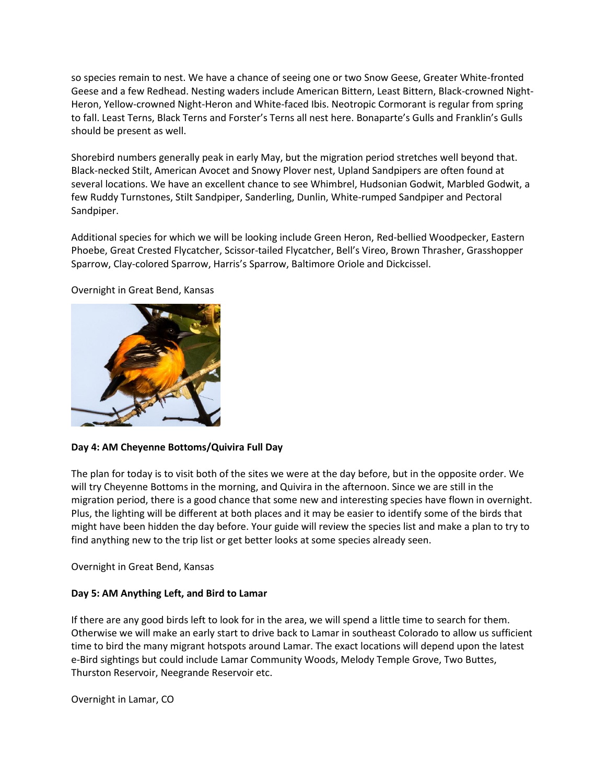so species remain to nest. We have a chance of seeing one or two Snow Geese, Greater White-fronted Geese and a few Redhead. Nesting waders include American Bittern, Least Bittern, Black-crowned Night-Heron, Yellow-crowned Night-Heron and White-faced Ibis. Neotropic Cormorant is regular from spring to fall. Least Terns, Black Terns and Forster's Terns all nest here. Bonaparte's Gulls and Franklin's Gulls should be present as well.

Shorebird numbers generally peak in early May, but the migration period stretches well beyond that. Black-necked Stilt, American Avocet and Snowy Plover nest, Upland Sandpipers are often found at several locations. We have an excellent chance to see Whimbrel, Hudsonian Godwit, Marbled Godwit, a few Ruddy Turnstones, Stilt Sandpiper, Sanderling, Dunlin, White-rumped Sandpiper and Pectoral Sandpiper.

Additional species for which we will be looking include Green Heron, Red-bellied Woodpecker, Eastern Phoebe, Great Crested Flycatcher, Scissor-tailed Flycatcher, Bell's Vireo, Brown Thrasher, Grasshopper Sparrow, Clay-colored Sparrow, Harris's Sparrow, Baltimore Oriole and Dickcissel.



Overnight in Great Bend, Kansas

#### **Day 4: AM Cheyenne Bottoms/Quivira Full Day**

The plan for today is to visit both of the sites we were at the day before, but in the opposite order. We will try Cheyenne Bottoms in the morning, and Quivira in the afternoon. Since we are still in the migration period, there is a good chance that some new and interesting species have flown in overnight. Plus, the lighting will be different at both places and it may be easier to identify some of the birds that might have been hidden the day before. Your guide will review the species list and make a plan to try to find anything new to the trip list or get better looks at some species already seen.

Overnight in Great Bend, Kansas

## **Day 5: AM Anything Left, and Bird to Lamar**

If there are any good birds left to look for in the area, we will spend a little time to search for them. Otherwise we will make an early start to drive back to Lamar in southeast Colorado to allow us sufficient time to bird the many migrant hotspots around Lamar. The exact locations will depend upon the latest e-Bird sightings but could include Lamar Community Woods, Melody Temple Grove, Two Buttes, Thurston Reservoir, Neegrande Reservoir etc.

Overnight in Lamar, CO